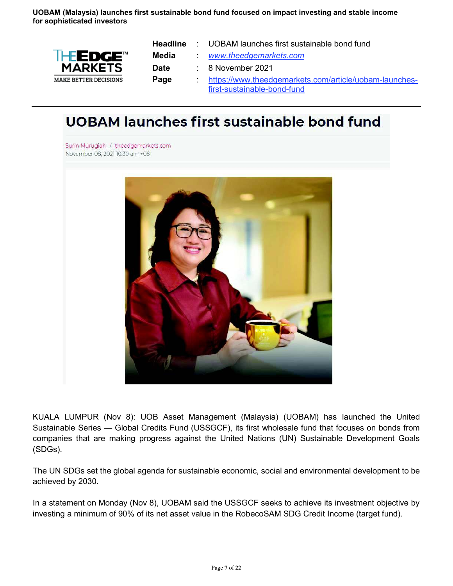**UOBAM (Malaysia) launches first sustainable bond fund focused on impact investing and stable income for sophisticated investors** 



| <b>Headline</b> | : UOBAM launches first sustainable bond fund           |
|-----------------|--------------------------------------------------------|
| Media           | www.theedgemarkets.com                                 |
| <b>Date</b>     | $\therefore$ 8 November 2021                           |
| Page            | https://www.theedgemarkets.com/article/uobam-launches- |
|                 | first-sustainable-bond-fund                            |

## **UOBAM launches first sustainable bond fund**

Surin Murugiah / theedgemarkets.com November 08, 2021 10:30 am +08



KUALA LUMPUR (Nov 8): UOB Asset Management (Malaysia) (UOBAM) has launched the United Sustainable Series — Global Credits Fund (USSGCF), its first wholesale fund that focuses on bonds from companies that are making progress against the United Nations (UN) Sustainable Development Goals (SDGs).

The UN SDGs set the global agenda for sustainable economic, social and environmental development to be achieved by 2030.

In a statement on Monday (Nov 8), UOBAM said the USSGCF seeks to achieve its investment objective by investing a minimum of 90% of its net asset value in the RobecoSAM SDG Credit Income (target fund).